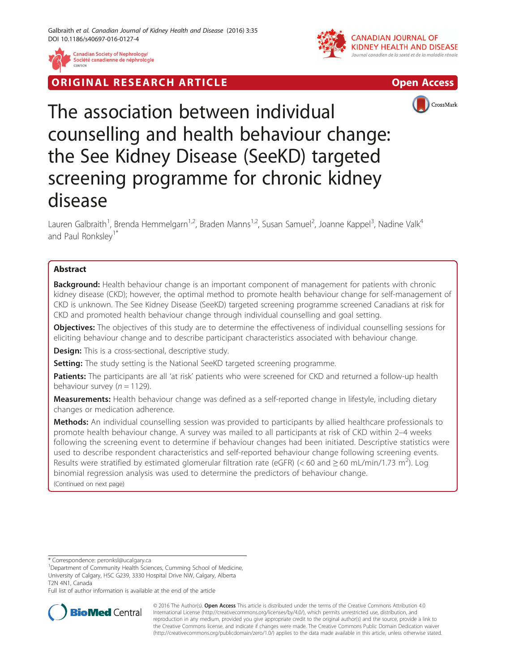

**Canadian Society of Nephrology/** Société canadienne de néphrologie







The association between individual counselling and health behaviour change: the See Kidney Disease (SeeKD) targeted screening programme for chronic kidney disease

Lauren Galbraith<sup>1</sup>, Brenda Hemmelgarn<sup>1,2</sup>, Braden Manns<sup>1,2</sup>, Susan Samuel<sup>2</sup>, Joanne Kappel<sup>3</sup>, Nadine Valk<sup>4</sup> and Paul Ronksley<sup>1\*</sup>

# Abstract

**Background:** Health behaviour change is an important component of management for patients with chronic kidney disease (CKD); however, the optimal method to promote health behaviour change for self-management of CKD is unknown. The See Kidney Disease (SeeKD) targeted screening programme screened Canadians at risk for CKD and promoted health behaviour change through individual counselling and goal setting.

Objectives: The objectives of this study are to determine the effectiveness of individual counselling sessions for eliciting behaviour change and to describe participant characteristics associated with behaviour change.

**Design:** This is a cross-sectional, descriptive study.

**Setting:** The study setting is the National SeeKD targeted screening programme.

Patients: The participants are all 'at risk' patients who were screened for CKD and returned a follow-up health behaviour survey ( $n = 1129$ ).

Measurements: Health behaviour change was defined as a self-reported change in lifestyle, including dietary changes or medication adherence.

Methods: An individual counselling session was provided to participants by allied healthcare professionals to promote health behaviour change. A survey was mailed to all participants at risk of CKD within 2–4 weeks following the screening event to determine if behaviour changes had been initiated. Descriptive statistics were used to describe respondent characteristics and self-reported behaviour change following screening events. Results were stratified by estimated glomerular filtration rate (eGFR) (< 60 and  $\geq$  60 mL/min/1.73 m<sup>2</sup>). Log binomial regression analysis was used to determine the predictors of behaviour change. (Continued on next page)

\* Correspondence: [peronksl@ucalgary.ca](mailto:peronksl@ucalgary.ca) <sup>1</sup>

Full list of author information is available at the end of the article



© 2016 The Author(s). Open Access This article is distributed under the terms of the Creative Commons Attribution 4.0 International License [\(http://creativecommons.org/licenses/by/4.0/](http://creativecommons.org/licenses/by/4.0/)), which permits unrestricted use, distribution, and reproduction in any medium, provided you give appropriate credit to the original author(s) and the source, provide a link to the Creative Commons license, and indicate if changes were made. The Creative Commons Public Domain Dedication waiver [\(http://creativecommons.org/publicdomain/zero/1.0/](http://creativecommons.org/publicdomain/zero/1.0/)) applies to the data made available in this article, unless otherwise stated.

<sup>&</sup>lt;sup>1</sup>Department of Community Health Sciences, Cumming School of Medicine, University of Calgary, HSC G239, 3330 Hospital Drive NW, Calgary, Alberta T2N 4N1, Canada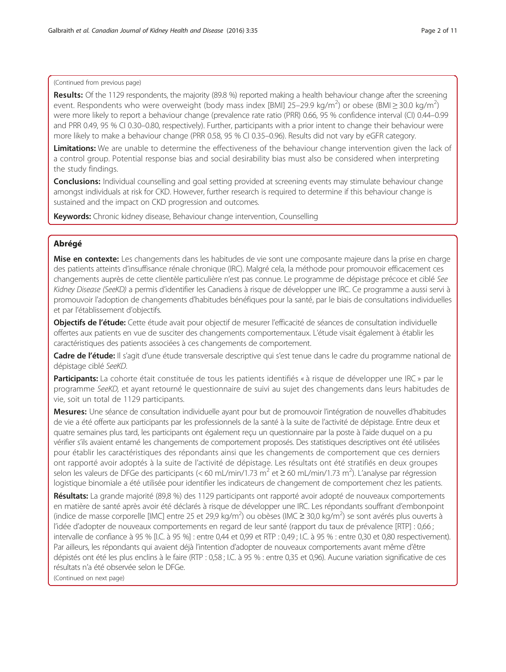## (Continued from previous page)

Results: Of the 1129 respondents, the majority (89.8 %) reported making a health behaviour change after the screening event. Respondents who were overweight (body mass index [BMI] 25-29.9 kg/m<sup>2</sup>) or obese (BMI≥30.0 kg/m<sup>2</sup>) were more likely to report a behaviour change (prevalence rate ratio (PRR) 0.66, 95 % confidence interval (CI) 0.44–0.99 and PRR 0.49, 95 % CI 0.30–0.80, respectively). Further, participants with a prior intent to change their behaviour were more likely to make a behaviour change (PRR 0.58, 95 % CI 0.35–0.96). Results did not vary by eGFR category.

Limitations: We are unable to determine the effectiveness of the behaviour change intervention given the lack of a control group. Potential response bias and social desirability bias must also be considered when interpreting the study findings.

**Conclusions:** Individual counselling and goal setting provided at screening events may stimulate behaviour change amongst individuals at risk for CKD. However, further research is required to determine if this behaviour change is sustained and the impact on CKD progression and outcomes.

Keywords: Chronic kidney disease, Behaviour change intervention, Counselling

## Abrégé

Mise en contexte: Les changements dans les habitudes de vie sont une composante majeure dans la prise en charge des patients atteints d'insuffisance rénale chronique (IRC). Malgré cela, la méthode pour promouvoir efficacement ces changements auprès de cette clientèle particulière n'est pas connue. Le programme de dépistage précoce et ciblé See Kidney Disease (SeeKD) a permis d'identifier les Canadiens à risque de développer une IRC. Ce programme a aussi servi à promouvoir l'adoption de changements d'habitudes bénéfiques pour la santé, par le biais de consultations individuelles et par l'établissement d'objectifs.

Objectifs de l'étude: Cette étude avait pour objectif de mesurer l'efficacité de séances de consultation individuelle offertes aux patients en vue de susciter des changements comportementaux. L'étude visait également à établir les caractéristiques des patients associées à ces changements de comportement.

Cadre de l'étude: Il s'agit d'une étude transversale descriptive qui s'est tenue dans le cadre du programme national de dépistage ciblé SeeKD.

Participants: La cohorte était constituée de tous les patients identifiés « à risque de développer une IRC » par le programme SeeKD, et ayant retourné le questionnaire de suivi au sujet des changements dans leurs habitudes de vie, soit un total de 1129 participants.

Mesures: Une séance de consultation individuelle ayant pour but de promouvoir l'intégration de nouvelles d'habitudes de vie a été offerte aux participants par les professionnels de la santé à la suite de l'activité de dépistage. Entre deux et quatre semaines plus tard, les participants ont également reçu un questionnaire par la poste à l'aide duquel on a pu vérifier s'ils avaient entamé les changements de comportement proposés. Des statistiques descriptives ont été utilisées pour établir les caractéristiques des répondants ainsi que les changements de comportement que ces derniers ont rapporté avoir adoptés à la suite de l'activité de dépistage. Les résultats ont été stratifiés en deux groupes selon les valeurs de DFGe des participants (< 60 mL/min/1.73 m<sup>2</sup> et ≥ 60 mL/min/1.73 m<sup>2</sup>). L'analyse par régression logistique binomiale a été utilisée pour identifier les indicateurs de changement de comportement chez les patients.

Résultats: La grande majorité (89,8 %) des 1129 participants ont rapporté avoir adopté de nouveaux comportements en matière de santé après avoir été déclarés à risque de développer une IRC. Les répondants souffrant d'embonpoint (indice de masse corporelle [IMC] entre 25 et 29,9 kg/m<sup>2</sup>) ou obèses (IMC ≥ 30,0 kg/m<sup>2</sup>) se sont avérés plus ouverts à l'idée d'adopter de nouveaux comportements en regard de leur santé (rapport du taux de prévalence [RTP] : 0,66 ; intervalle de confiance à 95 % [I.C. à 95 %] : entre 0,44 et 0,99 et RTP : 0,49 ; I.C. à 95 % : entre 0,30 et 0,80 respectivement). Par ailleurs, les répondants qui avaient déjà l'intention d'adopter de nouveaux comportements avant même d'être dépistés ont été les plus enclins à le faire (RTP : 0,58 ; I.C. à 95 % : entre 0,35 et 0,96). Aucune variation significative de ces résultats n'a été observée selon le DFGe.

(Continued on next page)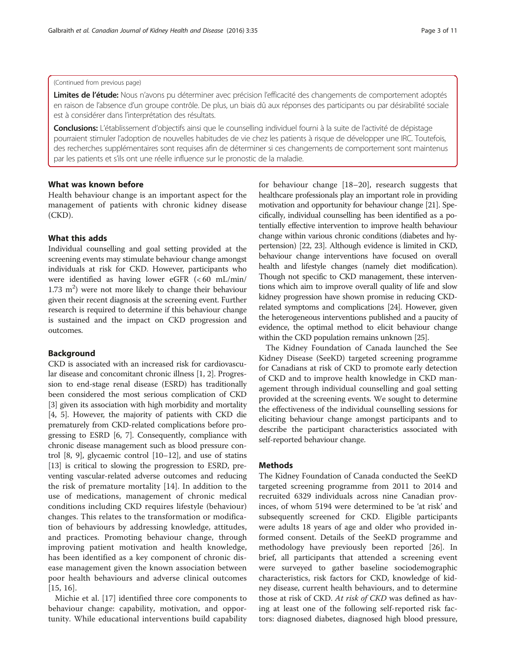### (Continued from previous page)

Limites de l'étude: Nous n'avons pu déterminer avec précision l'efficacité des changements de comportement adoptés en raison de l'absence d'un groupe contrôle. De plus, un biais dû aux réponses des participants ou par désirabilité sociale est à considérer dans l'interprétation des résultats.

Conclusions: L'établissement d'objectifs ainsi que le counselling individuel fourni à la suite de l'activité de dépistage pourraient stimuler l'adoption de nouvelles habitudes de vie chez les patients à risque de développer une IRC. Toutefois, des recherches supplémentaires sont requises afin de déterminer si ces changements de comportement sont maintenus par les patients et s'ils ont une réelle influence sur le pronostic de la maladie.

## What was known before

Health behaviour change is an important aspect for the management of patients with chronic kidney disease (CKD).

## What this adds

Individual counselling and goal setting provided at the screening events may stimulate behaviour change amongst individuals at risk for CKD. However, participants who were identified as having lower eGFR (< 60 mL/min/  $1.73 \text{ m}^2$ ) were not more likely to change their behaviour given their recent diagnosis at the screening event. Further research is required to determine if this behaviour change is sustained and the impact on CKD progression and outcomes.

## Background

CKD is associated with an increased risk for cardiovascular disease and concomitant chronic illness [\[1](#page-9-0), [2\]](#page-9-0). Progression to end-stage renal disease (ESRD) has traditionally been considered the most serious complication of CKD [[3\]](#page-9-0) given its association with high morbidity and mortality [[4, 5](#page-9-0)]. However, the majority of patients with CKD die prematurely from CKD-related complications before progressing to ESRD [\[6](#page-9-0), [7](#page-9-0)]. Consequently, compliance with chronic disease management such as blood pressure control [\[8, 9\]](#page-9-0), glycaemic control [\[10](#page-9-0)–[12](#page-9-0)], and use of statins [[13](#page-9-0)] is critical to slowing the progression to ESRD, preventing vascular-related adverse outcomes and reducing the risk of premature mortality [[14\]](#page-9-0). In addition to the use of medications, management of chronic medical conditions including CKD requires lifestyle (behaviour) changes. This relates to the transformation or modification of behaviours by addressing knowledge, attitudes, and practices. Promoting behaviour change, through improving patient motivation and health knowledge, has been identified as a key component of chronic disease management given the known association between poor health behaviours and adverse clinical outcomes [[15, 16](#page-9-0)].

Michie et al. [\[17](#page-9-0)] identified three core components to behaviour change: capability, motivation, and opportunity. While educational interventions build capability for behaviour change [[18](#page-9-0)–[20\]](#page-9-0), research suggests that healthcare professionals play an important role in providing motivation and opportunity for behaviour change [[21](#page-9-0)]. Specifically, individual counselling has been identified as a potentially effective intervention to improve health behaviour change within various chronic conditions (diabetes and hypertension) [\[22, 23\]](#page-9-0). Although evidence is limited in CKD, behaviour change interventions have focused on overall health and lifestyle changes (namely diet modification). Though not specific to CKD management, these interventions which aim to improve overall quality of life and slow kidney progression have shown promise in reducing CKDrelated symptoms and complications [\[24](#page-9-0)]. However, given the heterogeneous interventions published and a paucity of evidence, the optimal method to elicit behaviour change within the CKD population remains unknown [[25](#page-9-0)].

The Kidney Foundation of Canada launched the See Kidney Disease (SeeKD) targeted screening programme for Canadians at risk of CKD to promote early detection of CKD and to improve health knowledge in CKD management through individual counselling and goal setting provided at the screening events. We sought to determine the effectiveness of the individual counselling sessions for eliciting behaviour change amongst participants and to describe the participant characteristics associated with self-reported behaviour change.

## Methods

The Kidney Foundation of Canada conducted the SeeKD targeted screening programme from 2011 to 2014 and recruited 6329 individuals across nine Canadian provinces, of whom 5194 were determined to be 'at risk' and subsequently screened for CKD. Eligible participants were adults 18 years of age and older who provided informed consent. Details of the SeeKD programme and methodology have previously been reported [\[26\]](#page-9-0). In brief, all participants that attended a screening event were surveyed to gather baseline sociodemographic characteristics, risk factors for CKD, knowledge of kidney disease, current health behaviours, and to determine those at risk of CKD. At risk of CKD was defined as having at least one of the following self-reported risk factors: diagnosed diabetes, diagnosed high blood pressure,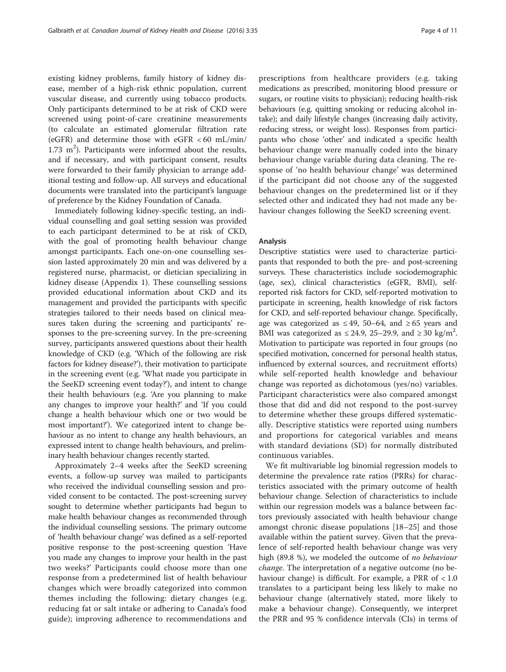existing kidney problems, family history of kidney disease, member of a high-risk ethnic population, current vascular disease, and currently using tobacco products. Only participants determined to be at risk of CKD were screened using point-of-care creatinine measurements (to calculate an estimated glomerular filtration rate (eGFR) and determine those with eGFR < 60 mL/min/  $1.73 \text{ m}^2$ ). Participants were informed about the results, and if necessary, and with participant consent, results were forwarded to their family physician to arrange additional testing and follow-up. All surveys and educational documents were translated into the participant's language of preference by the Kidney Foundation of Canada.

Immediately following kidney-specific testing, an individual counselling and goal setting session was provided to each participant determined to be at risk of CKD, with the goal of promoting health behaviour change amongst participants. Each one-on-one counselling session lasted approximately 20 min and was delivered by a registered nurse, pharmacist, or dietician specializing in kidney disease ([Appendix 1\)](#page-8-0). These counselling sessions provided educational information about CKD and its management and provided the participants with specific strategies tailored to their needs based on clinical measures taken during the screening and participants' responses to the pre-screening survey. In the pre-screening survey, participants answered questions about their health knowledge of CKD (e.g. 'Which of the following are risk factors for kidney disease?'), their motivation to participate in the screening event (e.g. 'What made you participate in the SeeKD screening event today?'), and intent to change their health behaviours (e.g. 'Are you planning to make any changes to improve your health?' and 'If you could change a health behaviour which one or two would be most important?'). We categorized intent to change behaviour as no intent to change any health behaviours, an expressed intent to change health behaviours, and preliminary health behaviour changes recently started.

Approximately 2–4 weeks after the SeeKD screening events, a follow-up survey was mailed to participants who received the individual counselling session and provided consent to be contacted. The post-screening survey sought to determine whether participants had begun to make health behaviour changes as recommended through the individual counselling sessions. The primary outcome of 'health behaviour change' was defined as a self-reported positive response to the post-screening question 'Have you made any changes to improve your health in the past two weeks?' Participants could choose more than one response from a predetermined list of health behaviour changes which were broadly categorized into common themes including the following: dietary changes (e.g. reducing fat or salt intake or adhering to Canada's food guide); improving adherence to recommendations and

prescriptions from healthcare providers (e.g. taking medications as prescribed, monitoring blood pressure or sugars, or routine visits to physician); reducing health-risk behaviours (e.g. quitting smoking or reducing alcohol intake); and daily lifestyle changes (increasing daily activity, reducing stress, or weight loss). Responses from participants who chose 'other' and indicated a specific health behaviour change were manually coded into the binary behaviour change variable during data cleaning. The response of 'no health behaviour change' was determined if the participant did not choose any of the suggested behaviour changes on the predetermined list or if they selected other and indicated they had not made any behaviour changes following the SeeKD screening event.

## Analysis

Descriptive statistics were used to characterize participants that responded to both the pre- and post-screening surveys. These characteristics include sociodemographic (age, sex), clinical characteristics (eGFR, BMI), selfreported risk factors for CKD, self-reported motivation to participate in screening, health knowledge of risk factors for CKD, and self-reported behaviour change. Specifically, age was categorized as ≤ 49, 50–64, and ≥ 65 years and BMI was categorized as  $\leq$  24.9, 25–29.9, and  $\geq$  30 kg/m<sup>2</sup>. Motivation to participate was reported in four groups (no specified motivation, concerned for personal health status, influenced by external sources, and recruitment efforts) while self-reported health knowledge and behaviour change was reported as dichotomous (yes/no) variables. Participant characteristics were also compared amongst those that did and did not respond to the post-survey to determine whether these groups differed systematically. Descriptive statistics were reported using numbers and proportions for categorical variables and means with standard deviations (SD) for normally distributed continuous variables.

We fit multivariable log binomial regression models to determine the prevalence rate ratios (PRRs) for characteristics associated with the primary outcome of health behaviour change. Selection of characteristics to include within our regression models was a balance between factors previously associated with health behaviour change amongst chronic disease populations [\[18](#page-9-0)–[25\]](#page-9-0) and those available within the patient survey. Given that the prevalence of self-reported health behaviour change was very high (89.8 %), we modeled the outcome of no behaviour change. The interpretation of a negative outcome (no behaviour change) is difficult. For example, a PRR of < 1.0 translates to a participant being less likely to make no behaviour change (alternatively stated, more likely to make a behaviour change). Consequently, we interpret the PRR and 95 % confidence intervals (CIs) in terms of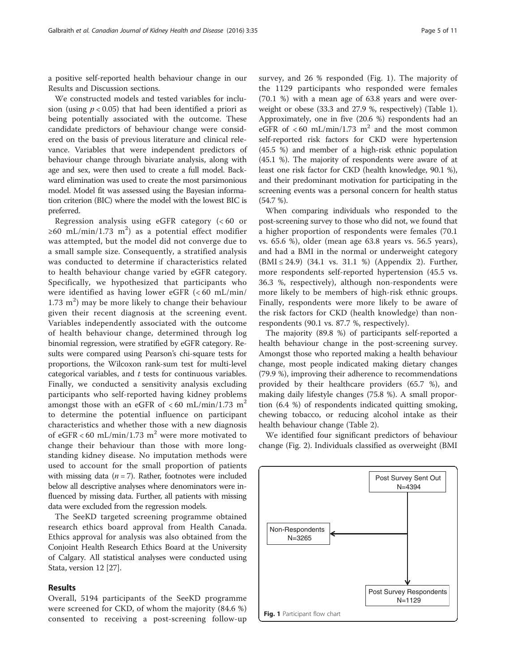a positive self-reported health behaviour change in our Results and [Discussion](#page-5-0) sections.

We constructed models and tested variables for inclusion (using  $p < 0.05$ ) that had been identified a priori as being potentially associated with the outcome. These candidate predictors of behaviour change were considered on the basis of previous literature and clinical relevance. Variables that were independent predictors of behaviour change through bivariate analysis, along with age and sex, were then used to create a full model. Backward elimination was used to create the most parsimonious model. Model fit was assessed using the Bayesian information criterion (BIC) where the model with the lowest BIC is preferred.

Regression analysis using eGFR category (< 60 or ≥60 mL/min/1.73 m<sup>2</sup>) as a potential effect modifier was attempted, but the model did not converge due to a small sample size. Consequently, a stratified analysis was conducted to determine if characteristics related to health behaviour change varied by eGFR category. Specifically, we hypothesized that participants who were identified as having lower eGFR (< 60 mL/min/  $1.73 \text{ m}^2$ ) may be more likely to change their behaviour given their recent diagnosis at the screening event. Variables independently associated with the outcome of health behaviour change, determined through log binomial regression, were stratified by eGFR category. Results were compared using Pearson's chi-square tests for proportions, the Wilcoxon rank-sum test for multi-level categorical variables, and  $t$  tests for continuous variables. Finally, we conducted a sensitivity analysis excluding participants who self-reported having kidney problems amongst those with an eGFR of  $< 60$  mL/min/1.73 m<sup>2</sup> to determine the potential influence on participant characteristics and whether those with a new diagnosis of eGFR < 60 mL/min/1.73 m<sup>2</sup> were more motivated to change their behaviour than those with more longstanding kidney disease. No imputation methods were used to account for the small proportion of patients with missing data ( $n = 7$ ). Rather, footnotes were included below all descriptive analyses where denominators were influenced by missing data. Further, all patients with missing data were excluded from the regression models.

The SeeKD targeted screening programme obtained research ethics board approval from Health Canada. Ethics approval for analysis was also obtained from the Conjoint Health Research Ethics Board at the University of Calgary. All statistical analyses were conducted using Stata, version 12 [\[27\]](#page-9-0).

### Results

Overall, 5194 participants of the SeeKD programme were screened for CKD, of whom the majority (84.6 %) consented to receiving a post-screening follow-up survey, and 26 % responded (Fig. 1). The majority of the 1129 participants who responded were females (70.1 %) with a mean age of 63.8 years and were overweight or obese (33.3 and 27.9 %, respectively) (Table [1](#page-5-0)). Approximately, one in five (20.6 %) respondents had an eGFR of  $<$  60 mL/min/1.73 m<sup>2</sup> and the most common self-reported risk factors for CKD were hypertension (45.5 %) and member of a high-risk ethnic population (45.1 %). The majority of respondents were aware of at least one risk factor for CKD (health knowledge, 90.1 %), and their predominant motivation for participating in the screening events was a personal concern for health status (54.7 %).

When comparing individuals who responded to the post-screening survey to those who did not, we found that a higher proportion of respondents were females (70.1 vs. 65.6 %), older (mean age 63.8 years vs. 56.5 years), and had a BMI in the normal or underweight category (BMI ≤ 24.9) (34.1 vs. 31.1 %) [\(Appendix 2](#page-8-0)). Further, more respondents self-reported hypertension (45.5 vs. 36.3 %, respectively), although non-respondents were more likely to be members of high-risk ethnic groups. Finally, respondents were more likely to be aware of the risk factors for CKD (health knowledge) than nonrespondents (90.1 vs. 87.7 %, respectively).

The majority (89.8 %) of participants self-reported a health behaviour change in the post-screening survey. Amongst those who reported making a health behaviour change, most people indicated making dietary changes (79.9 %), improving their adherence to recommendations provided by their healthcare providers (65.7 %), and making daily lifestyle changes (75.8 %). A small proportion (6.4 %) of respondents indicated quitting smoking, chewing tobacco, or reducing alcohol intake as their health behaviour change (Table [2\)](#page-5-0).

We identified four significant predictors of behaviour change (Fig. [2](#page-6-0)). Individuals classified as overweight (BMI

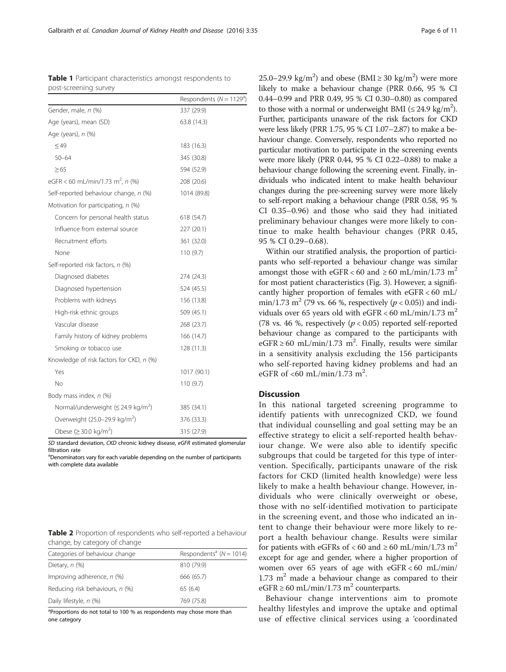SD standard deviation, CKD chronic kidney disease, eGFR estimated glomerular filtration rate

<sup>a</sup>Denominators vary for each variable depending on the number of participants with complete data available

|  | <b>Table 2</b> Proportion of respondents who self-reported a behaviour |  |  |
|--|------------------------------------------------------------------------|--|--|
|  | change, by category of change                                          |  |  |

| Categories of behaviour change  | Respondents <sup>a</sup> ( $N = 1014$ ) |
|---------------------------------|-----------------------------------------|
| Dietary, $n$ $(\%)$             | 810 (79.9)                              |
| Improving adherence, $n$ (%)    | 666 (65.7)                              |
| Reducing risk behaviours, n (%) | 65(6.4)                                 |
| Daily lifestyle, n (%)          | 769 (75.8)                              |

<sup>a</sup>Proportions do not total to 100 % as respondents may chose more than one category

25.0–29.9 kg/m<sup>2</sup>) and obese (BMI  $\geq$  30 kg/m<sup>2</sup>) were more likely to make a behaviour change (PRR 0.66, 95 % CI 0.44–0.99 and PRR 0.49, 95 % CI 0.30–0.80) as compared to those with a normal or underweight BMI ( $\leq 24.9 \text{ kg/m}^2$ ). Further, participants unaware of the risk factors for CKD were less likely (PRR 1.75, 95 % CI 1.07–2.87) to make a behaviour change. Conversely, respondents who reported no particular motivation to participate in the screening events were more likely (PRR 0.44, 95 % CI 0.22–0.88) to make a behaviour change following the screening event. Finally, individuals who indicated intent to make health behaviour changes during the pre-screening survey were more likely to self-report making a behaviour change (PRR 0.58, 95 % CI 0.35–0.96) and those who said they had initiated preliminary behaviour changes were more likely to continue to make health behaviour changes (PRR 0.45, 95 % CI 0.29–0.68).

Within our stratified analysis, the proportion of participants who self-reported a behaviour change was similar amongst those with eGFR < 60 and  $\geq$  60 mL/min/1.73 m<sup>2</sup> for most patient characteristics (Fig. [3](#page-6-0)). However, a significantly higher proportion of females with eGFR < 60 mL/ min/1.73 m<sup>2</sup> (79 vs. 66 %, respectively ( $p < 0.05$ )) and individuals over 65 years old with eGFR < 60 mL/min/1.73 m<sup>2</sup> (78 vs. 46 %, respectively  $(p < 0.05)$  reported self-reported behaviour change as compared to the participants with eGFR ≥ 60 mL/min/1.73 m<sup>2</sup>. Finally, results were similar in a sensitivity analysis excluding the 156 participants who self-reported having kidney problems and had an eGFR of <60 mL/min/1.73 m<sup>2</sup>.

## **Discussion**

In this national targeted screening programme to identify patients with unrecognized CKD, we found that individual counselling and goal setting may be an effective strategy to elicit a self-reported health behaviour change. We were also able to identify specific subgroups that could be targeted for this type of intervention. Specifically, participants unaware of the risk factors for CKD (limited health knowledge) were less likely to make a health behaviour change. However, individuals who were clinically overweight or obese, those with no self-identified motivation to participate in the screening event, and those who indicated an intent to change their behaviour were more likely to report a health behaviour change. Results were similar for patients with eGFRs of < 60 and  $\geq$  60 mL/min/1.73 m<sup>2</sup> except for age and gender, where a higher proportion of women over 65 years of age with eGFR < 60 mL/min/  $1.73$  m<sup>2</sup> made a behaviour change as compared to their eGFR  $\geq$  60 mL/min/1.73 m<sup>2</sup> counterparts.

Behaviour change interventions aim to promote healthy lifestyles and improve the uptake and optimal use of effective clinical services using a 'coordinated

<span id="page-5-0"></span>Table 1 Participant characteristics amongst respondents to post-screening survey

|                                                                            | Respondents ( $N = 1129a$ ) |  |
|----------------------------------------------------------------------------|-----------------------------|--|
| Gender, male, n (%)                                                        | 337 (29.9)                  |  |
| Age (years), mean (SD)                                                     | 63.8 (14.3)                 |  |
| Age (years), n (%)                                                         |                             |  |
| $\leq$ 49                                                                  | 183 (16.3)                  |  |
| $50 - 64$                                                                  | 345 (30.8)                  |  |
| $\geq 65$                                                                  | 594 (52.9)                  |  |
| eGFR < 60 mL/min/1.73 m <sup>2</sup> , n (%)                               | 208 (20.6)                  |  |
| Self-reported behaviour change, n (%)                                      | 1014 (89.8)                 |  |
| Motivation for participating, n (%)                                        |                             |  |
| Concern for personal health status                                         | 618 (54.7)                  |  |
| Influence from external source                                             | 227 (20.1)                  |  |
| Recruitment efforts                                                        | 361 (32.0)                  |  |
| None                                                                       | 110(9.7)                    |  |
| Self-reported risk factors, n (%)                                          |                             |  |
| Diagnosed diabetes                                                         | 274 (24.3)                  |  |
| Diagnosed hypertension                                                     | 524 (45.5)                  |  |
| Problems with kidneys                                                      | 156 (13.8)                  |  |
| High-risk ethnic groups                                                    | 509 (45.1)                  |  |
| Vascular disease                                                           | 268 (23.7)                  |  |
| Family history of kidney problems                                          | 166 (14.7)                  |  |
| Smoking or tobacco use                                                     | 128 (11.3)                  |  |
| Knowledge of risk factors for CKD, n (%)                                   |                             |  |
| Yes                                                                        | 1017 (90.1)                 |  |
| No                                                                         | 110 (9.7)                   |  |
| Body mass index, n (%)                                                     |                             |  |
| Normal/underweight ( $\leq$ 24.9 kg/m <sup>2</sup> )                       | 385 (34.1)                  |  |
| Overweight (25.0–29.9 kg/m <sup>2</sup> )                                  | 376 (33.3)                  |  |
| Obese ( $\geq$ 30.0 kg/m <sup>2</sup> )                                    | 315 (27.9)                  |  |
| SD standard deviation CKD chronic kidney disease eGER estimated glomerular |                             |  |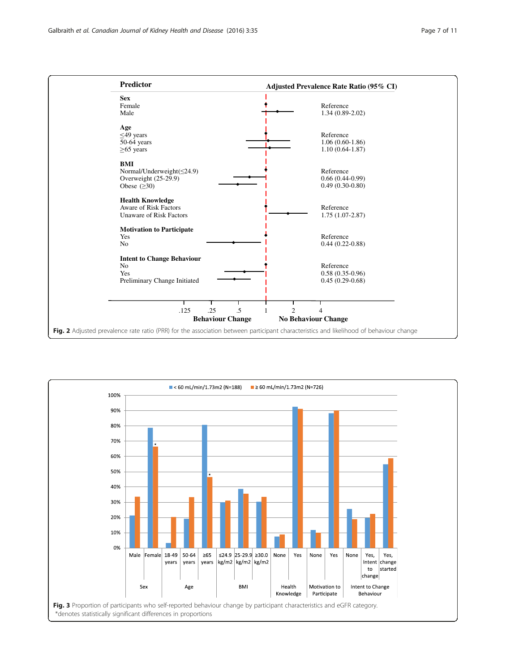<span id="page-6-0"></span>

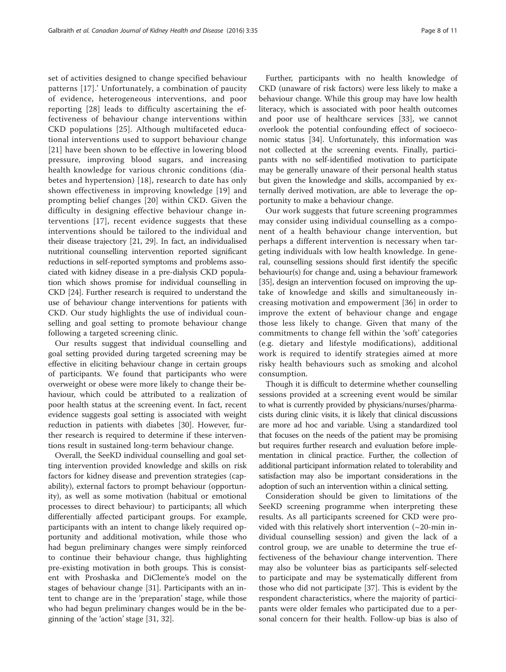set of activities designed to change specified behaviour patterns [[17](#page-9-0)].' Unfortunately, a combination of paucity of evidence, heterogeneous interventions, and poor reporting [\[28\]](#page-9-0) leads to difficulty ascertaining the effectiveness of behaviour change interventions within CKD populations [[25](#page-9-0)]. Although multifaceted educational interventions used to support behaviour change [[21](#page-9-0)] have been shown to be effective in lowering blood pressure, improving blood sugars, and increasing health knowledge for various chronic conditions (diabetes and hypertension) [[18](#page-9-0)], research to date has only shown effectiveness in improving knowledge [[19\]](#page-9-0) and prompting belief changes [[20](#page-9-0)] within CKD. Given the difficulty in designing effective behaviour change interventions [[17](#page-9-0)], recent evidence suggests that these interventions should be tailored to the individual and their disease trajectory [[21](#page-9-0), [29\]](#page-9-0). In fact, an individualised nutritional counselling intervention reported significant reductions in self-reported symptoms and problems associated with kidney disease in a pre-dialysis CKD population which shows promise for individual counselling in CKD [\[24\]](#page-9-0). Further research is required to understand the use of behaviour change interventions for patients with CKD. Our study highlights the use of individual counselling and goal setting to promote behaviour change following a targeted screening clinic.

Our results suggest that individual counselling and goal setting provided during targeted screening may be effective in eliciting behaviour change in certain groups of participants. We found that participants who were overweight or obese were more likely to change their behaviour, which could be attributed to a realization of poor health status at the screening event. In fact, recent evidence suggests goal setting is associated with weight reduction in patients with diabetes [\[30\]](#page-9-0). However, further research is required to determine if these interventions result in sustained long-term behaviour change.

Overall, the SeeKD individual counselling and goal setting intervention provided knowledge and skills on risk factors for kidney disease and prevention strategies (capability), external factors to prompt behaviour (opportunity), as well as some motivation (habitual or emotional processes to direct behaviour) to participants; all which differentially affected participant groups. For example, participants with an intent to change likely required opportunity and additional motivation, while those who had begun preliminary changes were simply reinforced to continue their behaviour change, thus highlighting pre-existing motivation in both groups. This is consistent with Proshaska and DiClemente's model on the stages of behaviour change [[31](#page-9-0)]. Participants with an intent to change are in the 'preparation' stage, while those who had begun preliminary changes would be in the beginning of the 'action' stage [[31, 32\]](#page-9-0).

Further, participants with no health knowledge of CKD (unaware of risk factors) were less likely to make a behaviour change. While this group may have low health literacy, which is associated with poor health outcomes and poor use of healthcare services [[33](#page-9-0)], we cannot overlook the potential confounding effect of socioeconomic status [[34\]](#page-9-0). Unfortunately, this information was not collected at the screening events. Finally, participants with no self-identified motivation to participate may be generally unaware of their personal health status but given the knowledge and skills, accompanied by externally derived motivation, are able to leverage the opportunity to make a behaviour change.

Our work suggests that future screening programmes may consider using individual counselling as a component of a health behaviour change intervention, but perhaps a different intervention is necessary when targeting individuals with low health knowledge. In general, counselling sessions should first identify the specific behaviour(s) for change and, using a behaviour framework [[35](#page-10-0)], design an intervention focused on improving the uptake of knowledge and skills and simultaneously increasing motivation and empowerment [[36\]](#page-10-0) in order to improve the extent of behaviour change and engage those less likely to change. Given that many of the commitments to change fell within the 'soft' categories (e.g. dietary and lifestyle modifications), additional work is required to identify strategies aimed at more risky health behaviours such as smoking and alcohol consumption.

Though it is difficult to determine whether counselling sessions provided at a screening event would be similar to what is currently provided by physicians/nurses/pharmacists during clinic visits, it is likely that clinical discussions are more ad hoc and variable. Using a standardized tool that focuses on the needs of the patient may be promising but requires further research and evaluation before implementation in clinical practice. Further, the collection of additional participant information related to tolerability and satisfaction may also be important considerations in the adoption of such an intervention within a clinical setting.

Consideration should be given to limitations of the SeeKD screening programme when interpreting these results. As all participants screened for CKD were provided with this relatively short intervention  $(\sim 20$ -min individual counselling session) and given the lack of a control group, we are unable to determine the true effectiveness of the behaviour change intervention. There may also be volunteer bias as participants self-selected to participate and may be systematically different from those who did not participate [[37\]](#page-10-0). This is evident by the respondent characteristics, where the majority of participants were older females who participated due to a personal concern for their health. Follow-up bias is also of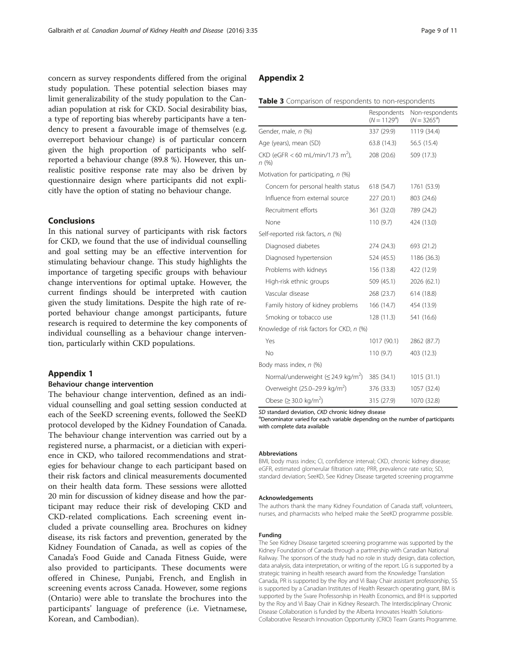<span id="page-8-0"></span>concern as survey respondents differed from the original study population. These potential selection biases may limit generalizability of the study population to the Canadian population at risk for CKD. Social desirability bias, a type of reporting bias whereby participants have a tendency to present a favourable image of themselves (e.g. overreport behaviour change) is of particular concern given the high proportion of participants who selfreported a behaviour change (89.8 %). However, this unrealistic positive response rate may also be driven by questionnaire design where participants did not explicitly have the option of stating no behaviour change.

### Conclusions

In this national survey of participants with risk factors for CKD, we found that the use of individual counselling and goal setting may be an effective intervention for stimulating behaviour change. This study highlights the importance of targeting specific groups with behaviour change interventions for optimal uptake. However, the current findings should be interpreted with caution given the study limitations. Despite the high rate of reported behaviour change amongst participants, future research is required to determine the key components of individual counselling as a behaviour change intervention, particularly within CKD populations.

### Appendix 1

### Behaviour change intervention

The behaviour change intervention, defined as an individual counselling and goal setting session conducted at each of the SeeKD screening events, followed the SeeKD protocol developed by the Kidney Foundation of Canada. The behaviour change intervention was carried out by a registered nurse, a pharmacist, or a dietician with experience in CKD, who tailored recommendations and strategies for behaviour change to each participant based on their risk factors and clinical measurements documented on their health data form. These sessions were allotted 20 min for discussion of kidney disease and how the participant may reduce their risk of developing CKD and CKD-related complications. Each screening event included a private counselling area. Brochures on kidney disease, its risk factors and prevention, generated by the Kidney Foundation of Canada, as well as copies of the Canada's Food Guide and Canada Fitness Guide, were also provided to participants. These documents were offered in Chinese, Punjabi, French, and English in screening events across Canada. However, some regions (Ontario) were able to translate the brochures into the participants' language of preference (i.e. Vietnamese, Korean, and Cambodian).

|  | <b>Table 3</b> Comparison of respondents to non-respondents |  |  |  |  |
|--|-------------------------------------------------------------|--|--|--|--|
|--|-------------------------------------------------------------|--|--|--|--|

|                                                        | Respondents<br>$(N = 1129^a)$ | Non-respondents<br>$(N = 3265^{\circ})$ |
|--------------------------------------------------------|-------------------------------|-----------------------------------------|
| Gender, male, n (%)                                    | 337 (29.9)                    | 1119 (34.4)                             |
| Age (years), mean (SD)                                 | 63.8 (14.3)                   | 56.5 (15.4)                             |
| $CKD$ (eGFR < 60 mL/min/1.73 m <sup>2</sup> ),<br>n(%) | 208 (20.6)                    | 509 (17.3)                              |
| Motivation for participating, n (%)                    |                               |                                         |
| Concern for personal health status                     | 618 (54.7)                    | 1761 (53.9)                             |
| Influence from external source                         | 227 (20.1)                    | 803 (24.6)                              |
| Recruitment efforts                                    | 361 (32.0)                    | 789 (24.2)                              |
| None                                                   | 110(9.7)                      | 424 (13.0)                              |
| Self-reported risk factors, n (%)                      |                               |                                         |
| Diagnosed diabetes                                     | 274 (24.3)                    | 693 (21.2)                              |
| Diagnosed hypertension                                 | 524 (45.5)                    | 1186 (36.3)                             |
| Problems with kidneys                                  | 156 (13.8)                    | 422 (12.9)                              |
| High-risk ethnic groups                                | 509 (45.1)                    | 2026 (62.1)                             |
| Vascular disease                                       | 268 (23.7)                    | 614 (18.8)                              |
| Family history of kidney problems                      | 166 (14.7)                    | 454 (13.9)                              |
| Smoking or tobacco use                                 | 128 (11.3)                    | 541 (16.6)                              |
| Knowledge of risk factors for CKD, n (%)               |                               |                                         |
| Yes                                                    | 1017 (90.1)                   | 2862 (87.7)                             |
| No                                                     | 110 (9.7)                     | 403 (12.3)                              |
| Body mass index, n (%)                                 |                               |                                         |
| Normal/underweight ( $\leq$ 24.9 kg/m <sup>2</sup> )   | 385 (34.1)                    | 1015(31.1)                              |
| Overweight (25.0–29.9 kg/m <sup>2</sup> )              | 376 (33.3)                    | 1057 (32.4)                             |
| Obese ( $\geq$ 30.0 kg/m <sup>2</sup> )                | 315 (27.9)                    | 1070 (32.8)                             |

SD standard deviation, CKD chronic kidney disease

<sup>a</sup>Denominator varied for each variable depending on the number of participants with complete data available

#### Abbreviations

BMI, body mass index; CI, confidence interval; CKD, chronic kidney disease; eGFR, estimated glomerular filtration rate; PRR, prevalence rate ratio; SD, standard deviation; SeeKD, See Kidney Disease targeted screening programme

#### Acknowledgements

The authors thank the many Kidney Foundation of Canada staff, volunteers, nurses, and pharmacists who helped make the SeeKD programme possible.

### Funding

The See Kidney Disease targeted screening programme was supported by the Kidney Foundation of Canada through a partnership with Canadian National Railway. The sponsors of the study had no role in study design, data collection, data analysis, data interpretation, or writing of the report. LG is supported by a strategic training in health research award from the Knowledge Translation Canada, PR is supported by the Roy and Vi Baay Chair assistant professorship, SS is supported by a Canadian Institutes of Health Research operating grant, BM is supported by the Svare Professorship in Health Economics, and BH is supported by the Roy and Vi Baay Chair in Kidney Research. The Interdisciplinary Chronic Disease Collaboration is funded by the Alberta Innovates Health Solutions-Collaborative Research Innovation Opportunity (CRIO) Team Grants Programme.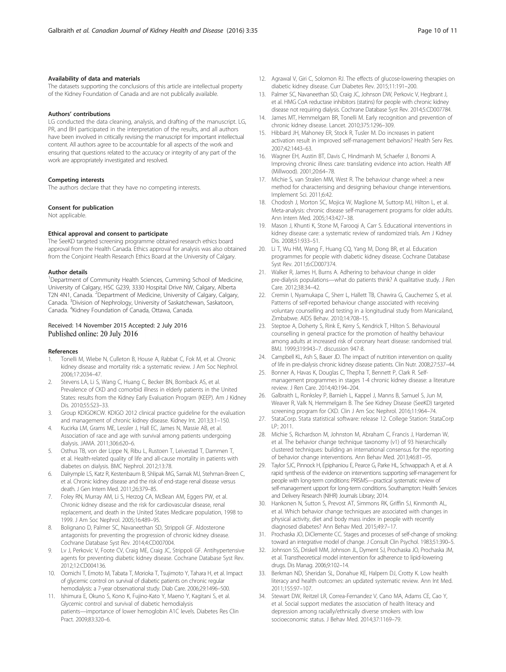### <span id="page-9-0"></span>Availability of data and materials

The datasets supporting the conclusions of this article are intellectual property of the Kidney Foundation of Canada and are not publically available.

### Authors' contributions

LG conducted the data cleaning, analysis, and drafting of the manuscript. LG, PR, and BH participated in the interpretation of the results, and all authors have been involved in critically revising the manuscript for important intellectual content. All authors agree to be accountable for all aspects of the work and ensuring that questions related to the accuracy or integrity of any part of the work are appropriately investigated and resolved.

#### Competing interests

The authors declare that they have no competing interests.

### Consent for publication

Not applicable.

#### Ethical approval and consent to participate

The SeeKD targeted screening programme obtained research ethics board approval from the Health Canada. Ethics approval for analysis was also obtained from the Conjoint Health Research Ethics Board at the University of Calgary.

#### Author details

<sup>1</sup>Department of Community Health Sciences, Cumming School of Medicine, University of Calgary, HSC G239, 3330 Hospital Drive NW, Calgary, Alberta T2N 4N1, Canada. <sup>2</sup>Department of Medicine, University of Calgary, Calgary, Canada. <sup>3</sup>Division of Nephrology, University of Saskatchewan, Saskatoon, Canada. <sup>4</sup> Kidney Foundation of Canada, Ottawa, Canada.

### Received: 14 November 2015 Accepted: 2 July 2016 Published online: 20 July 2016

#### References

- 1. Tonelli M, Wiebe N, Culleton B, House A, Rabbat C, Fok M, et al. Chronic kidney disease and mortality risk: a systematic review. J Am Soc Nephrol. 2006;17:2034–47.
- Stevens LA, Li S, Wang C, Huang C, Becker BN, Bomback AS, et al. Prevalence of CKD and comorbid illness in elderly patients in the United States: results from the Kidney Early Evaluation Program (KEEP). Am J Kidney Dis. 2010;55:S23–33.
- 3. Group KDIGOKCW. KDIGO 2012 clinical practice guideline for the evaluation and management of chronic kidney disease. Kidney Int. 2013;3:1–150.
- 4. Kucirka LM, Grams ME, Lessler J, Hall EC, James N, Massie AB, et al. Association of race and age with survival among patients undergoing dialysis. JAMA. 2011;306:620–6.
- 5. Osthus TB, von der Lippe N, Ribu L, Rustoen T, Leivestad T, Dammen T, et al. Health-related quality of life and all-cause mortality in patients with diabetes on dialysis. BMC Nephrol. 2012;13:78.
- 6. Dalrymple LS, Katz R, Kestenbaum B, Shlipak MG, Sarnak MJ, Stehman-Breen C, et al. Chronic kidney disease and the risk of end-stage renal disease versus death. J Gen Intern Med. 2011;26:379–85.
- 7. Foley RN, Murray AM, Li S, Herzog CA, McBean AM, Eggers PW, et al. Chronic kidney disease and the risk for cardiovascular disease, renal replacement, and death in the United States Medicare population, 1998 to 1999. J Am Soc Nephrol. 2005;16:489–95.
- 8. Bolignano D, Palmer SC, Navaneethan SD, Strippoli GF. Aldosterone antagonists for preventing the progression of chronic kidney disease. Cochrane Database Syst Rev. 2014;4:CD007004.
- Lv J, Perkovic V, Foote CV, Craig ME, Craig JC, Strippoli GF. Antihypertensive agents for preventing diabetic kidney disease. Cochrane Database Syst Rev. 2012;12:CD004136.
- 10. Oomichi T, Emoto M, Tabata T, Morioka T, Tsujimoto Y, Tahara H, et al. Impact of glycemic control on survival of diabetic patients on chronic regular hemodialysis: a 7-year observational study. Diab Care. 2006;29:1496–500.
- 11. Ishimura E, Okuno S, Kono K, Fujino-Kato Y, Maeno Y, Kagitani S, et al. Glycemic control and survival of diabetic hemodialysis patients—importance of lower hemoglobin A1C levels. Diabetes Res Clin Pract. 2009;83:320–6.
- 12. Agrawal V, Giri C, Solomon RJ. The effects of glucose-lowering therapies on diabetic kidney disease. Curr Diabetes Rev. 2015;11:191–200.
- 13. Palmer SC, Navaneethan SD, Craig JC, Johnson DW, Perkovic V, Hegbrant J, et al. HMG CoA reductase inhibitors (statins) for people with chronic kidney disease not requiring dialysis. Cochrane Database Syst Rev. 2014;5:CD007784.
- 14. James MT, Hemmelgarn BR, Tonelli M. Early recognition and prevention of chronic kidney disease. Lancet. 2010;375:1296–309.
- 15. Hibbard JH, Mahoney ER, Stock R, Tusler M. Do increases in patient activation result in improved self-management behaviors? Health Serv Res. 2007;42:1443–63.
- 16. Wagner EH, Austin BT, Davis C, Hindmarsh M, Schaefer J, Bonomi A. Improving chronic illness care: translating evidence into action. Health Aff (Millwood). 2001;20:64–78.
- 17. Michie S, van Stralen MM, West R. The behaviour change wheel: a new method for characterising and designing behaviour change interventions. Implement Sci. 2011;6:42.
- 18. Chodosh J, Morton SC, Mojica W, Maglione M, Suttorp MJ, Hilton L, et al. Meta-analysis: chronic disease self-management programs for older adults. Ann Intern Med. 2005;143:427–38.
- 19. Mason J, Khunti K, Stone M, Farooqi A, Carr S. Educational interventions in kidney disease care: a systematic review of randomized trials. Am J Kidney Dis. 2008;51:933–51.
- 20. Li T, Wu HM, Wang F, Huang CQ, Yang M, Dong BR, et al. Education programmes for people with diabetic kidney disease. Cochrane Database Syst Rev. 2011;6:CD007374.
- 21. Walker R, James H, Burns A. Adhering to behaviour change in older pre-dialysis populations—what do patients think? A qualitative study. J Ren Care. 2012;38:34–42.
- 22. Cremin I, Nyamukapa C, Sherr L, Hallett TB, Chawira G, Cauchemez S, et al. Patterns of self-reported behaviour change associated with receiving voluntary counselling and testing in a longitudinal study from Manicaland, Zimbabwe. AIDS Behav. 2010;14:708–15.
- 23. Steptoe A, Doherty S, Rink E, Kerry S, Kendrick T, Hilton S. Behavioural counselling in general practice for the promotion of healthy behaviour among adults at increased risk of coronary heart disease: randomised trial. BMJ. 1999;319:943–7. discussion 947-8.
- 24. Campbell KL, Ash S, Bauer JD. The impact of nutrition intervention on quality of life in pre-dialysis chronic kidney disease patients. Clin Nutr. 2008;27:537–44.
- 25. Bonner A, Havas K, Douglas C, Thepha T, Bennett P, Clark R. Selfmanagement programmes in stages 1-4 chronic kidney disease: a literature review. J Ren Care. 2014;40:194–204.
- 26. Galbraith L, Ronksley P, Barnieh L, Kappel J, Manns B, Samuel S, Jun M, Weaver R, Valk N, Hemmelgarn B. The See Kidney Disease (SeeKD) targeted screening program for CKD. Clin J Am Soc Nephrol. 2016;11:964–74.
- 27. StataCorp. Stata statistical software: release 12. College Station: StataCorp  $IP: 2011$
- 28. Michie S, Richardson M, Johnston M, Abraham C, Francis J, Hardeman W, et al. The behavior change technique taxonomy (v1) of 93 hierarchically clustered techniques: building an international consensus for the reporting of behavior change interventions. Ann Behav Med. 2013;46:81–95.
- 29. Taylor SJC, Pinnock H, Epiphaniou E, Pearce G, Parke HL, Schwappach A, et al. A rapid synthesis of the evidence on interventions supporting self-management for people with long-term conditions: PRISMS—practical systematic review of self-management upport for long-term conditions. Southampton: Health Services and Delivery Research (NIHR) Journals Library; 2014.
- 30. Hankonen N, Sutton S, Prevost AT, Simmons RK, Griffin SJ, Kinmonth AL, et al. Which behavior change techniques are associated with changes in physical activity, diet and body mass index in people with recently diagnosed diabetes? Ann Behav Med. 2015;49:7–17.
- 31. Prochaska JO, DiClemente CC. Stages and processes of self-change of smoking: toward an integrative model of change. J Consult Clin Psychol. 1983;51:390–5.
- 32. Johnson SS, Driskell MM, Johnson JL, Dyment SJ, Prochaska JO, Prochaska JM, et al. Transtheoretical model intervention for adherence to lipid-lowering drugs. Dis Manag. 2006;9:102–14.
- 33. Berkman ND, Sheridan SL, Donahue KE, Halpern DJ, Crotty K. Low health literacy and health outcomes: an updated systematic review. Ann Int Med. 2011;155:97–107.
- 34. Stewart DW, Reitzel LR, Correa-Fernandez V, Cano MA, Adams CE, Cao Y, et al. Social support mediates the association of health literacy and depression among racially/ethnically diverse smokers with low socioeconomic status. J Behav Med. 2014;37:1169–79.